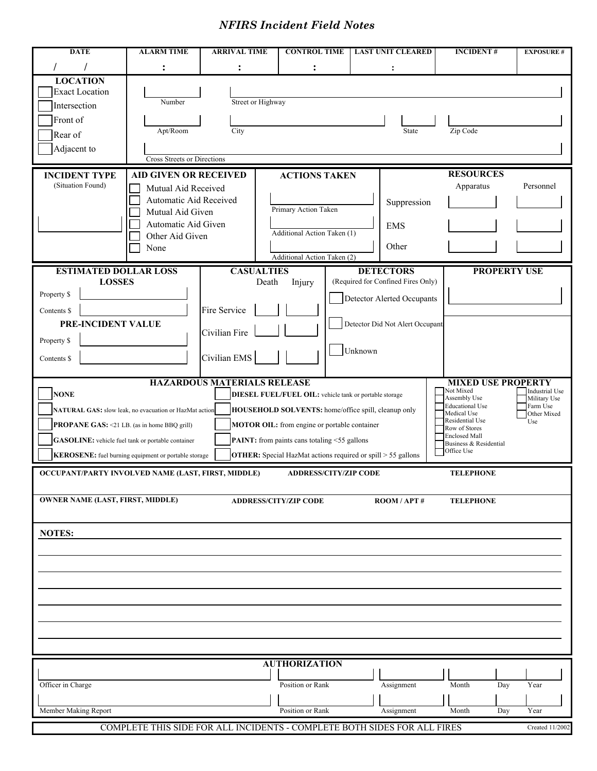## *NFIRS Incident Field Notes*

| <b>DATE</b>                                                                                                                                             | <b>ALARM TIME</b>                                      | <b>ARRIVAL TIME</b>                | <b>CONTROL TIME</b>                                                 | <b>LAST UNIT CLEARED</b>                               | <b>INCIDENT#</b>                      | <b>EXPOSURE #</b>                     |  |  |
|---------------------------------------------------------------------------------------------------------------------------------------------------------|--------------------------------------------------------|------------------------------------|---------------------------------------------------------------------|--------------------------------------------------------|---------------------------------------|---------------------------------------|--|--|
|                                                                                                                                                         |                                                        |                                    |                                                                     |                                                        |                                       |                                       |  |  |
| <b>LOCATION</b>                                                                                                                                         |                                                        |                                    |                                                                     |                                                        |                                       |                                       |  |  |
| <b>Exact Location</b>                                                                                                                                   |                                                        |                                    |                                                                     |                                                        |                                       |                                       |  |  |
| Intersection                                                                                                                                            | Number                                                 | Street or Highway                  |                                                                     |                                                        |                                       |                                       |  |  |
| Front of                                                                                                                                                |                                                        |                                    |                                                                     |                                                        |                                       |                                       |  |  |
| Rear of                                                                                                                                                 | Apt/Room                                               | City                               |                                                                     | State                                                  | Zip Code                              |                                       |  |  |
| Adjacent to                                                                                                                                             |                                                        |                                    |                                                                     |                                                        |                                       |                                       |  |  |
|                                                                                                                                                         | Cross Streets or Directions                            |                                    |                                                                     |                                                        |                                       |                                       |  |  |
| <b>INCIDENT TYPE</b>                                                                                                                                    | <b>AID GIVEN OR RECEIVED</b>                           |                                    | <b>ACTIONS TAKEN</b>                                                |                                                        | <b>RESOURCES</b>                      |                                       |  |  |
| (Situation Found)                                                                                                                                       | Mutual Aid Received                                    |                                    |                                                                     |                                                        | Apparatus                             | Personnel                             |  |  |
|                                                                                                                                                         | Automatic Aid Received                                 |                                    |                                                                     | Suppression                                            |                                       |                                       |  |  |
|                                                                                                                                                         | Mutual Aid Given                                       |                                    | Primary Action Taken                                                |                                                        |                                       |                                       |  |  |
|                                                                                                                                                         | Automatic Aid Given                                    |                                    |                                                                     | <b>EMS</b>                                             |                                       |                                       |  |  |
|                                                                                                                                                         | Other Aid Given                                        |                                    | Additional Action Taken (1)                                         |                                                        |                                       |                                       |  |  |
|                                                                                                                                                         | None                                                   |                                    | Additional Action Taken (2)                                         | Other                                                  |                                       |                                       |  |  |
|                                                                                                                                                         |                                                        |                                    |                                                                     |                                                        |                                       |                                       |  |  |
| <b>ESTIMATED DOLLAR LOSS</b><br><b>LOSSES</b>                                                                                                           |                                                        | <b>CASUALTIES</b><br>Death         | Injury                                                              | <b>DETECTORS</b><br>(Required for Confined Fires Only) | <b>PROPERTY USE</b>                   |                                       |  |  |
| Property \$                                                                                                                                             |                                                        |                                    |                                                                     |                                                        |                                       |                                       |  |  |
|                                                                                                                                                         |                                                        | Fire Service                       |                                                                     | Detector Alerted Occupants                             |                                       |                                       |  |  |
| Contents \$<br>PRE-INCIDENT VALUE                                                                                                                       |                                                        |                                    |                                                                     |                                                        |                                       |                                       |  |  |
|                                                                                                                                                         |                                                        | Civilian Fire                      |                                                                     | Detector Did Not Alert Occupant                        |                                       |                                       |  |  |
| Property \$                                                                                                                                             |                                                        |                                    |                                                                     |                                                        |                                       |                                       |  |  |
| Contents \$                                                                                                                                             |                                                        | Civilian EMS                       |                                                                     | Unknown                                                |                                       |                                       |  |  |
|                                                                                                                                                         |                                                        |                                    |                                                                     |                                                        |                                       |                                       |  |  |
|                                                                                                                                                         |                                                        | <b>HAZARDOUS MATERIALS RELEASE</b> |                                                                     |                                                        | <b>MIXED USE PROPERTY</b>             |                                       |  |  |
| <b>NONE</b>                                                                                                                                             |                                                        |                                    | DIESEL FUEL/FUEL OIL: vehicle tank or portable storage              |                                                        | Not Mixed<br>Assembly Use             | <b>Industrial Use</b><br>Military Use |  |  |
|                                                                                                                                                         | NATURAL GAS: slow leak, no evacuation or HazMat action |                                    | HOUSEHOLD SOLVENTS: home/office spill, cleanup only                 |                                                        | <b>Educational Use</b><br>Medical Use | Farm Use<br>Other Mixed               |  |  |
| Residential Use<br>Use<br><b>MOTOR OIL:</b> from engine or portable container<br><b>PROPANE GAS: &lt;21 LB.</b> (as in home BBQ grill)<br>Row of Stores |                                                        |                                    |                                                                     |                                                        |                                       |                                       |  |  |
| <b>GASOLINE:</b> vehicle fuel tank or portable container                                                                                                |                                                        |                                    | <b>PAINT:</b> from paints cans totaling <55 gallons                 |                                                        | <b>Enclosed Mall</b>                  |                                       |  |  |
|                                                                                                                                                         | KEROSENE: fuel burning equipment or portable storage   |                                    | <b>OTHER:</b> Special HazMat actions required or spill > 55 gallons |                                                        | Business & Residential<br>Office Use  |                                       |  |  |
|                                                                                                                                                         |                                                        |                                    |                                                                     |                                                        |                                       |                                       |  |  |
| OCCUPANT/PARTY INVOLVED NAME (LAST, FIRST, MIDDLE)<br><b>ADDRESS/CITY/ZIP CODE</b><br><b>TELEPHONE</b>                                                  |                                                        |                                    |                                                                     |                                                        |                                       |                                       |  |  |
|                                                                                                                                                         |                                                        |                                    |                                                                     |                                                        |                                       |                                       |  |  |
| <b>OWNER NAME (LAST, FIRST, MIDDLE)</b>                                                                                                                 |                                                        |                                    | <b>ADDRESS/CITY/ZIP CODE</b>                                        | $\bf{ROM}/\bf{APT}$ #                                  | <b>TELEPHONE</b>                      |                                       |  |  |
|                                                                                                                                                         |                                                        |                                    |                                                                     |                                                        |                                       |                                       |  |  |
| <b>NOTES:</b>                                                                                                                                           |                                                        |                                    |                                                                     |                                                        |                                       |                                       |  |  |
|                                                                                                                                                         |                                                        |                                    |                                                                     |                                                        |                                       |                                       |  |  |
|                                                                                                                                                         |                                                        |                                    |                                                                     |                                                        |                                       |                                       |  |  |
|                                                                                                                                                         |                                                        |                                    |                                                                     |                                                        |                                       |                                       |  |  |
|                                                                                                                                                         |                                                        |                                    |                                                                     |                                                        |                                       |                                       |  |  |
|                                                                                                                                                         |                                                        |                                    |                                                                     |                                                        |                                       |                                       |  |  |
|                                                                                                                                                         |                                                        |                                    |                                                                     |                                                        |                                       |                                       |  |  |
|                                                                                                                                                         |                                                        |                                    |                                                                     |                                                        |                                       |                                       |  |  |
|                                                                                                                                                         |                                                        |                                    |                                                                     |                                                        |                                       |                                       |  |  |
|                                                                                                                                                         |                                                        |                                    |                                                                     |                                                        |                                       |                                       |  |  |
| <b>AUTHORIZATION</b>                                                                                                                                    |                                                        |                                    |                                                                     |                                                        |                                       |                                       |  |  |
|                                                                                                                                                         |                                                        |                                    | Position or Rank                                                    |                                                        |                                       | Year                                  |  |  |
| Officer in Charge                                                                                                                                       |                                                        |                                    |                                                                     | Assignment                                             | Month<br>Day                          |                                       |  |  |
| Member Making Report                                                                                                                                    |                                                        |                                    | Position or Rank                                                    | Assignment                                             | Month<br>Day                          | Year                                  |  |  |
|                                                                                                                                                         |                                                        |                                    |                                                                     |                                                        |                                       |                                       |  |  |
| COMPLETE THIS SIDE FOR ALL INCIDENTS - COMPLETE BOTH SIDES FOR ALL FIRES<br>Created 11/2002                                                             |                                                        |                                    |                                                                     |                                                        |                                       |                                       |  |  |